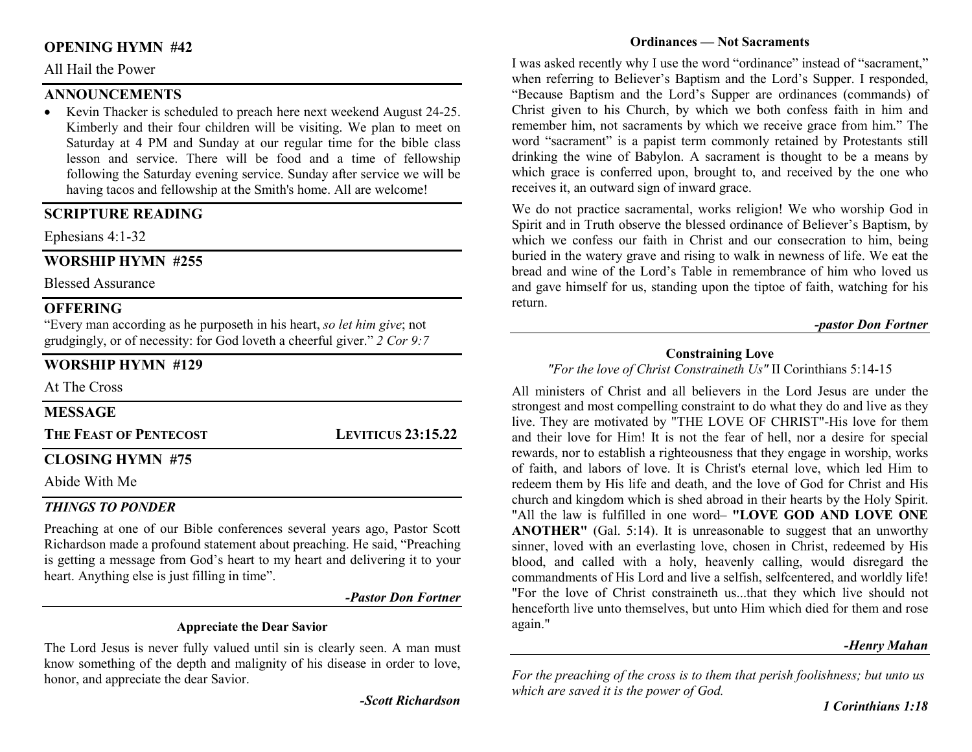## OPENING HYMN #42

#### All Hail the Power

## **ANNOUNCEMENTS**

• Kevin Thacker is scheduled to preach here next weekend August 24-25. Kimberly and their four children will be visiting. We plan to meet on Saturday at 4 PM and Sunday at our regular time for the bible class lesson and service. There will be food and a time of fellowship following the Saturday evening service. Sunday after service we will be having tacos and fellowship at the Smith's home. All are welcome!

## SCRIPTURE READING

Ephesians 4:1-32

## WORSHIP HYMN #255

Blessed Assurance

## **OFFERING**

"Every man according as he purposeth in his heart, so let him give; not grudgingly, or of necessity: for God loveth a cheerful giver." 2 Cor 9:7

## WORSHIP HYMN #129

At The Cross

### MESSAGE

THE FEAST OF PENTECOST LEVITICUS 23:15.22

## CLOSING HYMN #75

Abide With Me

## THINGS TO PONDER

Preaching at one of our Bible conferences several years ago, Pastor Scott Richardson made a profound statement about preaching. He said, "Preaching is getting a message from God's heart to my heart and delivering it to your heart. Anything else is just filling in time".

-Pastor Don Fortner

#### Appreciate the Dear Savior

The Lord Jesus is never fully valued until sin is clearly seen. A man must know something of the depth and malignity of his disease in order to love, honor, and appreciate the dear Savior.

-Scott Richardson

#### Ordinances — Not Sacraments

I was asked recently why I use the word "ordinance" instead of "sacrament," when referring to Believer's Baptism and the Lord's Supper. I responded, "Because Baptism and the Lord's Supper are ordinances (commands) of Christ given to his Church, by which we both confess faith in him and remember him, not sacraments by which we receive grace from him." The word "sacrament" is a papist term commonly retained by Protestants still drinking the wine of Babylon. A sacrament is thought to be a means by which grace is conferred upon, brought to, and received by the one who receives it, an outward sign of inward grace.

We do not practice sacramental, works religion! We who worship God in Spirit and in Truth observe the blessed ordinance of Believer's Baptism, by which we confess our faith in Christ and our consecration to him, being buried in the watery grave and rising to walk in newness of life. We eat the bread and wine of the Lord's Table in remembrance of him who loved us and gave himself for us, standing upon the tiptoe of faith, watching for his return.

#### -pastor Don Fortner

#### Constraining Love

"For the love of Christ Constraineth Us" II Corinthians 5:14-15

All ministers of Christ and all believers in the Lord Jesus are under the strongest and most compelling constraint to do what they do and live as they live. They are motivated by "THE LOVE OF CHRIST"-His love for them and their love for Him! It is not the fear of hell, nor a desire for special rewards, nor to establish a righteousness that they engage in worship, works of faith, and labors of love. It is Christ's eternal love, which led Him to redeem them by His life and death, and the love of God for Christ and His church and kingdom which is shed abroad in their hearts by the Holy Spirit. "All the law is fulfilled in one word– "LOVE GOD AND LOVE ONE ANOTHER" (Gal. 5:14). It is unreasonable to suggest that an unworthy sinner, loved with an everlasting love, chosen in Christ, redeemed by His blood, and called with a holy, heavenly calling, would disregard the commandments of His Lord and live a selfish, selfcentered, and worldly life! "For the love of Christ constraineth us...that they which live should not henceforth live unto themselves, but unto Him which died for them and rose again."

#### -Henry Mahan

For the preaching of the cross is to them that perish foolishness; but unto us which are saved it is the power of God.